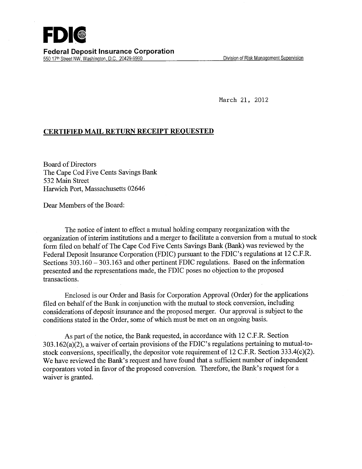March 21, 2012

## **CERTIFIED MAIL** RETURN **RECEIPT REQUESTED**

Board of Directors The Cape Cod Five Cents Savings Bank *532* Main Street Harwich Port, Massachusetts 02646

Dear Members of the Board:

The notice of intent to effect a mutual holding company reorganization with the organization of interim institutions and a merger to facilitate a conversion from a mutual to stock form filed on behalf of The Cape Cod Five Cents Savings Bank (Bank) was reviewed by the Federal Deposit Insurance Corporation (FDIC) pursuant to the FDIC's regulations at 12 C.F.R. Sections 303.160 - 303.163 and other pertinent FDIC regulations. Based on the information presented and the representations made, the FDIC poses no objection to the proposed transactions.

Enclosed is our Order and Basis for Corporation Approval (Order) for the applications filed on behalf of the Bank in conjunction with the mutual to stock conversion, including considerations of deposit insurance and the proposed merger. Our approval is subject to the conditions stated in the Order, some of which must be met on an ongoing basis.

As part of the notice, the Bank requested, in accordance with 12 C.F.R. Section 3 03.1 62(a)(2), a waiver of certain provisions of the FDIC's regulations pertaining to mutual-tostock conversions, specifically, the depositor vote requirement of 12 C.F.R. Section 333.4(c)(2). We have reviewed the Bank's request and have found that a sufficient number of independent corporators voted in favor of the proposed conversion. Therefore, the Bank's request for a waiver is granted.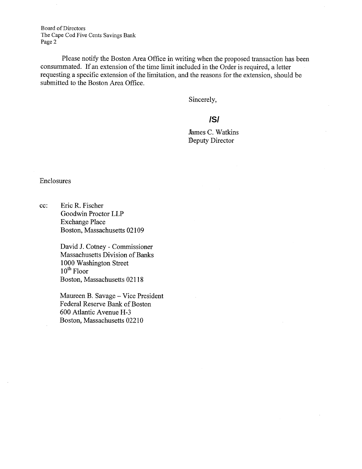Board of Directors The Cape Cod Five Cents Savings Bank Page 2

Please notify the Boston Area Office in writing when the proposed transaction has been consummated. If an extension of the time limit included in the Order is required, a letter requesting a specific extension of the limitation, and the reasons for the extension, should be submitted to the Boston Area Office.

Sincerely,

## **/S/**

James C. Watkins Deputy Director

Enclosures

cc: Eric R. Fischer Goodwin Proctor LLP Exchange Place Boston, Massachusetts 02109

> David J. Cotney - Commissioner Massachusetts Division of Banks 1000 Washington Street  $10<sup>th</sup>$  Floor Boston, Massachusetts 02118

Maureen B. Savage - Vice President Federal Reserve Bank of Boston 600 Atlantic Avenue H-3 Boston, Massachusetts 02210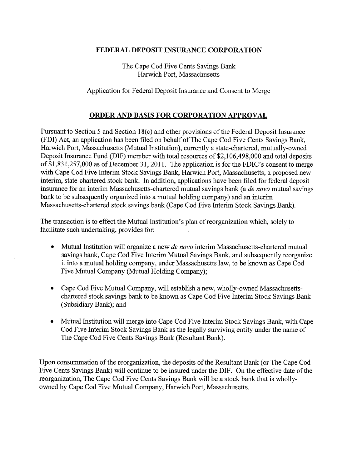## **FEDERAL DEPOSIT INSURANCE CORPORATION**

The Cape Cod Five Cents Savings Bank Harwich Port, Massachusetts

Application for Federal Deposit Insurance and Consent to Merge

## **ORDER AND BASIS FOR CORPORATION APPROVAL**

Pursuant to Section 5 and Section 18(c) and other provisions of the Federal Deposit Insurance (FDI) Act, an application has been filed on behalf of The Cape Cod Five Cents Savings Bank, Harwich Port, Massachusetts (Mutual Institution), currently a state-chartered, mutually-owned Deposit Insurance Fund (DIF) member with total resources of \$2,106,498,000 and total deposits of \$1,831,257,000 as of December 31, 2011. The application is for the FDIC's consent to merge with Cape Cod Five Interim Stock Savings Bank, Harwich Port, Massachusetts, a proposed new interim, state-chartered stock bank. In addition, applications have been filed for federal deposit insurance for an interim Massachusetts-chartered mutual savings bank (a *de novo* mutual savings bank to be subsequently organized into a mutual holding company) and an interim Massachusetts-chartered stock savings bank (Cape Cod Five Interim Stock Savings Bank).

The transaction is to effect the Mutual Institution's plan of reorganization which, solely to facilitate such undertaking, provides for:

- Mutual Institution will organize a new *de novo* interim Massachusetts-chartered mutual savings bank, Cape Cod Five Interim Mutual Savings Bank, and subsequently reorganize it into a mutual holding company, under Massachusetts law, to be known as Cape Cod Five Mutual Company (Mutual Holding Company);
- Cape Cod Five Mutual Company, will establish a new, wholly-owned Massachusetts- $\bullet$ chartered stock savings bank to be known as Cape Cod Five Interim Stock Savings Bank (Subsidiary Bank); and
- Mutual Institution will merge into Cape Cod Five Interim Stock Savings Bank, with Cape Cod Five Interim Stock Savings Bank as the legally surviving entity under the name of The Cape Cod Five Cents Savings Bank (Resultant Bank).

Upon consummation of the reorganization, the deposits of the Resultant Bank (or The Cape Cod Five Cents Savings Bank) will continue to be insured under the DIF. On the effective date of the reorganization, The Cape Cod Five Cents Savings Bank will be a stock bank that is whollyowned by Cape Cod Five Mutual Company, Harwich Port, Massachusetts.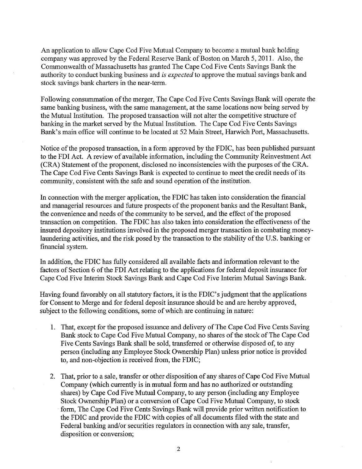An application to allow Cape Cod Five Mutual Company to become a mutual bank holding company was approved by the Federal Reserve Bank of Boston on March *5,* 2011. Also, the Commonwealth of Massachusetts has granted The Cape Cod Five Cents Savings Bank the authority to conduct banking business and *is expected* to approve the mutual savings bank and stock savings bank charters in the near-term.

Following consummation of the merger, The Cape Cod Five Cents Savings Bank will operate the same banking business, with the same management, at the same locations now being served by the Mutual Institution. The proposed transaction will not alter the competitive structure of banking in the market served by the Mutual Institution. The Cape Cod Five Cents Savings Bank's main office will continue to be located at 52 Main Street, Harwich Port, Massachusetts.

Notice of the proposed transaction, in a form approved by the FDIC, has been published pursuant to the FDI Act. A review of available information, including the Community Reinvestment Act (CRA) Statement of the proponent, disclosed no inconsistencies with the purposes of the CRA. The Cape Cod Five Cents Savings Bank is expected to continue to meet the credit needs of its community, consistent with the safe and sound operation of the institution.

In connection with the merger application, the FDIC has taken into consideration the financial and managerial resources and future prospects of the proponent banks and the Resultant Bank, the convenience and needs of the community to be served, and the effect of the proposed transaction on competition. The FDIC has also taken into consideration the effectiveness of the insured depository institutions involved in the proposed merger transaction in combating moneylaundering activities, and the risk posed by the transaction to the stability of the U.S. banking or financial system.

In addition, the FDIC has fully considered all available facts and information relevant to the factors of Section 6 of the FDI Act relating to the applications for federal deposit insurance for Cape Cod Five Interim Stock Savings Bank and Cape Cod Five Interim Mutual Savings Bank.

Having found favorably on all statutory factors, it is the FDIC's judgment that the applications for Consent to Merge and for federal deposit insurance should be and are hereby approved, subject to the following conditions, some of which are continuing in nature:

- 1. That, except for the proposed issuance and delivery of The Cape Cod Five Cents Saving Bank stock to Cape Cod Five Mutual Company, no shares of the stock of The Cape Cod Five Cents Savings Bank shall be sold, transferred or otherwise disposed of, to any person (including any Employee Stock Ownership Plan) unless prior notice is provided to, and non-objection is received from, the FDIC;
- 2. That, prior to a sale, transfer or other disposition of any shares of Cape Cod Five Mutual Company (which currently is in mutual form and has no authorized or outstanding shares) by Cape Cod Five Mutual Company, to any person (including any Employee Stock Ownership Plan) or a conversion of Cape Cod Five Mutual Company, to stock form, The Cape Cod Five Cents Savings Bank will provide prior written notification to the FDIC and provide the FDIC with copies of all documents filed with the state and Federal banking and/or securities regulators in connection with any sale, transfer, disposition or conversion;